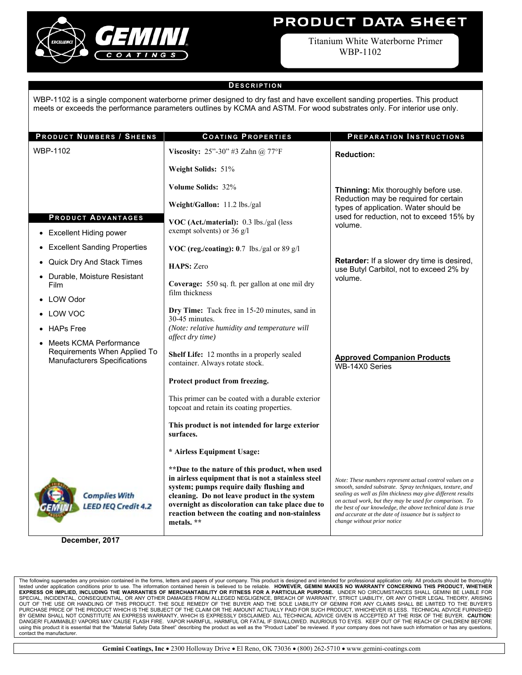

# **PRODUCT DATA SHEET**

Titanium White Waterborne Primer WBP-1102

### **D ESCRIPTION**

WBP-1102 is a single component waterborne primer designed to dry fast and have excellent sanding properties. This product meets or exceeds the performance parameters outlines by KCMA and ASTM. For wood substrates only. For interior use only.

| <b>PRODUCT NUMBERS / SHEENS</b>                                                               | <b>COATING PROPERTIES</b>                                                                                                                                                                                                                                                                                             | PREPARATION INSTRUCTIONS                                                                                                                                                                                                                                                                                                                                                                                |
|-----------------------------------------------------------------------------------------------|-----------------------------------------------------------------------------------------------------------------------------------------------------------------------------------------------------------------------------------------------------------------------------------------------------------------------|---------------------------------------------------------------------------------------------------------------------------------------------------------------------------------------------------------------------------------------------------------------------------------------------------------------------------------------------------------------------------------------------------------|
| WBP-1102                                                                                      | Viscosity: 25"-30" #3 Zahn @ 77°F                                                                                                                                                                                                                                                                                     | <b>Reduction:</b>                                                                                                                                                                                                                                                                                                                                                                                       |
|                                                                                               | Weight Solids: 51%                                                                                                                                                                                                                                                                                                    |                                                                                                                                                                                                                                                                                                                                                                                                         |
|                                                                                               | Volume Solids: 32%                                                                                                                                                                                                                                                                                                    | Thinning: Mix thoroughly before use.<br>Reduction may be required for certain<br>types of application. Water should be<br>used for reduction, not to exceed 15% by                                                                                                                                                                                                                                      |
|                                                                                               | Weight/Gallon: 11.2 lbs./gal                                                                                                                                                                                                                                                                                          |                                                                                                                                                                                                                                                                                                                                                                                                         |
| <b>PRODUCT ADVANTAGES</b>                                                                     | VOC (Act./material): 0.3 lbs./gal (less<br>volume.<br>exempt solvents) or 36 g/l                                                                                                                                                                                                                                      |                                                                                                                                                                                                                                                                                                                                                                                                         |
| <b>Excellent Hiding power</b>                                                                 |                                                                                                                                                                                                                                                                                                                       |                                                                                                                                                                                                                                                                                                                                                                                                         |
| <b>Excellent Sanding Properties</b>                                                           | VOC (reg./coating): 0.7 lbs./gal or 89 g/l                                                                                                                                                                                                                                                                            |                                                                                                                                                                                                                                                                                                                                                                                                         |
| Quick Dry And Stack Times                                                                     | HAPS: Zero                                                                                                                                                                                                                                                                                                            | Retarder: If a slower dry time is desired,<br>use Butyl Carbitol, not to exceed 2% by                                                                                                                                                                                                                                                                                                                   |
| Durable, Moisture Resistant<br>Film                                                           | Coverage: 550 sq. ft. per gallon at one mil dry<br>film thickness                                                                                                                                                                                                                                                     | volume.                                                                                                                                                                                                                                                                                                                                                                                                 |
| <b>LOW Odor</b>                                                                               |                                                                                                                                                                                                                                                                                                                       |                                                                                                                                                                                                                                                                                                                                                                                                         |
| LOW VOC                                                                                       | Dry Time: Tack free in 15-20 minutes, sand in<br>30-45 minutes.                                                                                                                                                                                                                                                       |                                                                                                                                                                                                                                                                                                                                                                                                         |
| <b>HAPs Free</b>                                                                              | (Note: relative humidity and temperature will                                                                                                                                                                                                                                                                         |                                                                                                                                                                                                                                                                                                                                                                                                         |
| Meets KCMA Performance<br>Requirements When Applied To<br><b>Manufacturers Specifications</b> | affect dry time)<br>Shelf Life: 12 months in a properly sealed<br>container. Always rotate stock.                                                                                                                                                                                                                     | <b>Approved Companion Products</b><br>WB-14X0 Series                                                                                                                                                                                                                                                                                                                                                    |
|                                                                                               | Protect product from freezing.                                                                                                                                                                                                                                                                                        |                                                                                                                                                                                                                                                                                                                                                                                                         |
|                                                                                               | This primer can be coated with a durable exterior<br>topcoat and retain its coating properties.                                                                                                                                                                                                                       |                                                                                                                                                                                                                                                                                                                                                                                                         |
|                                                                                               | This product is not intended for large exterior<br>surfaces.                                                                                                                                                                                                                                                          |                                                                                                                                                                                                                                                                                                                                                                                                         |
|                                                                                               | * Airless Equipment Usage:                                                                                                                                                                                                                                                                                            |                                                                                                                                                                                                                                                                                                                                                                                                         |
| <b>Complies With</b><br><b>LEED IEQ Credit 4.2</b>                                            | ** Due to the nature of this product, when used<br>in airless equipment that is not a stainless steel<br>system; pumps require daily flushing and<br>cleaning. Do not leave product in the system<br>overnight as discoloration can take place due to<br>reaction between the coating and non-stainless<br>metals. ** | Note: These numbers represent actual control values on a<br>smooth, sanded substrate. Spray techniques, texture, and<br>sealing as well as film thickness may give different results<br>on actual work, but they may be used for comparison. To<br>the best of our knowledge, the above technical data is true<br>and accurate at the date of issuance but is subject to<br>change without prior notice |

**December, 2017** 

The following supersedes any provision contained in the forms, letters and papers of your company. This product is designed and intended for professional application only. All products should be thoroughly<br>tested under app BY GEMINI SHALL NOT CONSTITUTE AN EXPRESS WARRANTY, WHICH IS EXPRESSLY DISCLAIMED. ALL TECHNICAL ADVICE GIVEN IS ACCEPTED AT THE RISK OF THE BUYER. **CAUTION**: DANGER! FLAMMABLE! VAPORS MAY CAUSE FLASH FIRE. VAPOR HARMFUL. HARMFUL OR FATAL IF SWALLOWED. INJURIOUS TO EYES. KEEP OUT OF THE REACH OF CHILDREN! BEFORE using this product it is essential that the "Material Safety Data Sheet" describing the product as well as the "Product Label" be reviewed. If your company does not have such information or has any questions, contact the manufacturer.